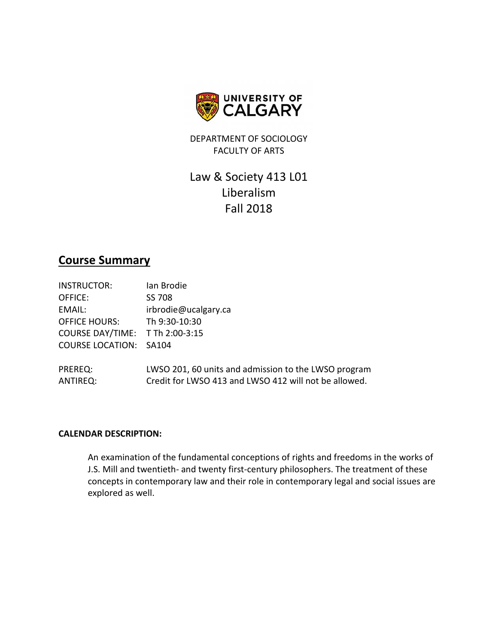

DEPARTMENT OF SOCIOLOGY FACULTY OF ARTS

# Law & Society 413 L01 Liberalism Fall 2018

## **Course Summary**

| <b>INSTRUCTOR:</b>              | Ian Brodie                                                                                                    |
|---------------------------------|---------------------------------------------------------------------------------------------------------------|
| OFFICE:                         | SS 708                                                                                                        |
| EMAIL:                          | irbrodie@ucalgary.ca                                                                                          |
| <b>OFFICE HOURS:</b>            | Th 9:30-10:30                                                                                                 |
| COURSE DAY/TIME: T Th 2:00-3:15 |                                                                                                               |
| <b>COURSE LOCATION: SA104</b>   |                                                                                                               |
| PREREQ:<br>ANTIREQ:             | LWSO 201, 60 units and admission to the LWSO program<br>Credit for LWSO 413 and LWSO 412 will not be allowed. |

## **CALENDAR DESCRIPTION:**

An examination of the fundamental conceptions of rights and freedoms in the works of J.S. Mill and twentieth- and twenty first-century philosophers. The treatment of these concepts in contemporary law and their role in contemporary legal and social issues are explored as well.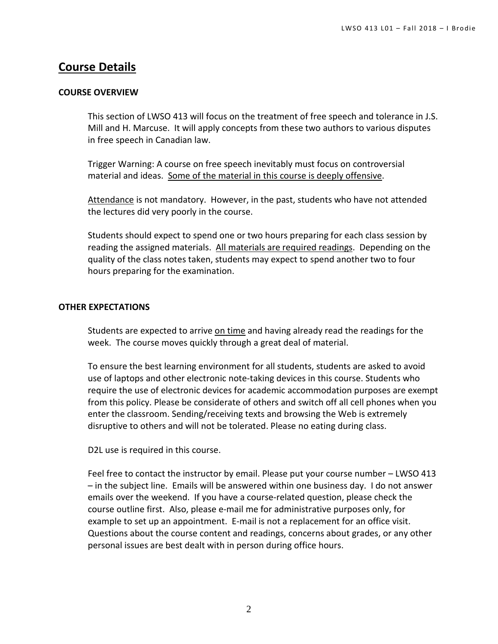## **Course Details**

## **COURSE OVERVIEW**

This section of LWSO 413 will focus on the treatment of free speech and tolerance in J.S. Mill and H. Marcuse. It will apply concepts from these two authors to various disputes in free speech in Canadian law.

Trigger Warning: A course on free speech inevitably must focus on controversial material and ideas. Some of the material in this course is deeply offensive.

Attendance is not mandatory. However, in the past, students who have not attended the lectures did very poorly in the course.

Students should expect to spend one or two hours preparing for each class session by reading the assigned materials. All materials are required readings. Depending on the quality of the class notes taken, students may expect to spend another two to four hours preparing for the examination.

## **OTHER EXPECTATIONS**

Students are expected to arrive on time and having already read the readings for the week. The course moves quickly through a great deal of material.

To ensure the best learning environment for all students, students are asked to avoid use of laptops and other electronic note-taking devices in this course. Students who require the use of electronic devices for academic accommodation purposes are exempt from this policy. Please be considerate of others and switch off all cell phones when you enter the classroom. Sending/receiving texts and browsing the Web is extremely disruptive to others and will not be tolerated. Please no eating during class.

D2L use is required in this course.

Feel free to contact the instructor by email. Please put your course number – LWSO 413 – in the subject line. Emails will be answered within one business day. I do not answer emails over the weekend. If you have a course-related question, please check the course outline first. Also, please e-mail me for administrative purposes only, for example to set up an appointment. E-mail is not a replacement for an office visit. Questions about the course content and readings, concerns about grades, or any other personal issues are best dealt with in person during office hours.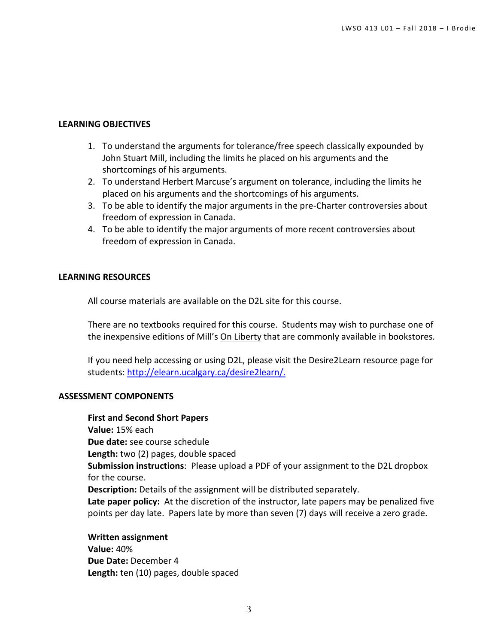## **LEARNING OBJECTIVES**

- 1. To understand the arguments for tolerance/free speech classically expounded by John Stuart Mill, including the limits he placed on his arguments and the shortcomings of his arguments.
- 2. To understand Herbert Marcuse's argument on tolerance, including the limits he placed on his arguments and the shortcomings of his arguments.
- 3. To be able to identify the major arguments in the pre-Charter controversies about freedom of expression in Canada.
- 4. To be able to identify the major arguments of more recent controversies about freedom of expression in Canada.

## **LEARNING RESOURCES**

All course materials are available on the D2L site for this course.

There are no textbooks required for this course. Students may wish to purchase one of the inexpensive editions of Mill's On Liberty that are commonly available in bookstores.

If you need help accessing or using D2L, please visit the Desire2Learn resource page for students: [http://elearn.ucalgary.ca/desire2learn/.](http://elearn.ucalgary.ca/desire2learn/)

## **ASSESSMENT COMPONENTS**

**First and Second Short Papers Value:** 15% each **Due date:** see course schedule **Length:** two (2) pages, double spaced **Submission instructions**: Please upload a PDF of your assignment to the D2L dropbox for the course. **Description:** Details of the assignment will be distributed separately. **Late paper policy:** At the discretion of the instructor, late papers may be penalized five points per day late. Papers late by more than seven (7) days will receive a zero grade.

**Written assignment Value:** 40% **Due Date:** December 4 **Length:** ten (10) pages, double spaced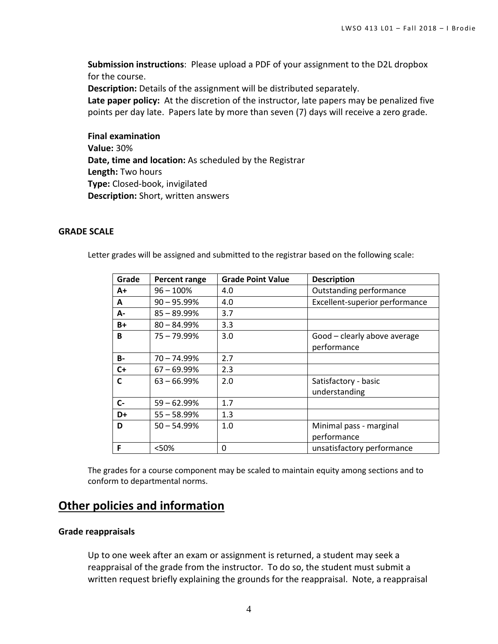**Submission instructions**: Please upload a PDF of your assignment to the D2L dropbox for the course.

**Description:** Details of the assignment will be distributed separately.

**Late paper policy:** At the discretion of the instructor, late papers may be penalized five points per day late. Papers late by more than seven (7) days will receive a zero grade.

**Final examination Value:** 30% **Date, time and location:** As scheduled by the Registrar **Length:** Two hours **Type:** Closed-book, invigilated **Description:** Short, written answers

#### **GRADE SCALE**

Letter grades will be assigned and submitted to the registrar based on the following scale:

| Grade     | Percent range  | <b>Grade Point Value</b> | <b>Description</b>             |
|-----------|----------------|--------------------------|--------------------------------|
| $A+$      | $96 - 100\%$   | 4.0                      | Outstanding performance        |
| A         | $90 - 95.99\%$ | 4.0                      | Excellent-superior performance |
| А-        | $85 - 89.99%$  | 3.7                      |                                |
| $B+$      | $80 - 84.99%$  | 3.3                      |                                |
| B         | $75 - 79.99\%$ | 3.0                      | Good - clearly above average   |
|           |                |                          | performance                    |
| <b>B-</b> | 70 – 74.99%    | 2.7                      |                                |
| $C+$      | $67 - 69.99%$  | 2.3                      |                                |
| C         | $63 - 66.99\%$ | 2.0                      | Satisfactory - basic           |
|           |                |                          | understanding                  |
| C-        | $59 - 62.99\%$ | 1.7                      |                                |
| D+        | $55 - 58.99%$  | 1.3                      |                                |
| D         | $50 - 54.99%$  | 1.0                      | Minimal pass - marginal        |
|           |                |                          | performance                    |
| F         | <50%           | 0                        | unsatisfactory performance     |

The grades for a course component may be scaled to maintain equity among sections and to conform to departmental norms.

## **Other policies and information**

#### **Grade reappraisals**

Up to one week after an exam or assignment is returned, a student may seek a reappraisal of the grade from the instructor. To do so, the student must submit a written request briefly explaining the grounds for the reappraisal. Note, a reappraisal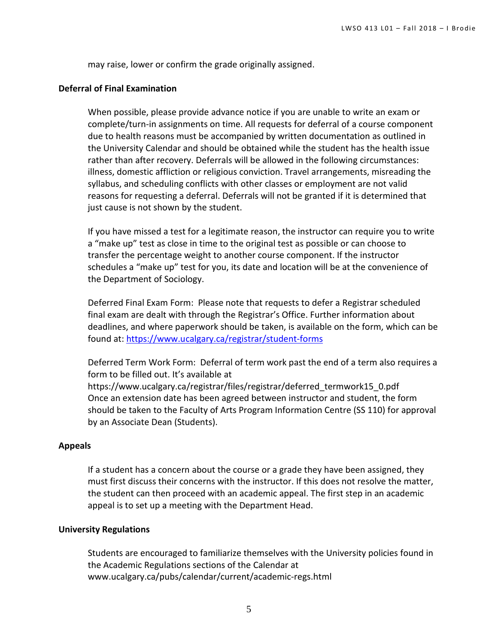may raise, lower or confirm the grade originally assigned.

#### **Deferral of Final Examination**

When possible, please provide advance notice if you are unable to write an exam or complete/turn-in assignments on time. All requests for deferral of a course component due to health reasons must be accompanied by written documentation as outlined in the University Calendar and should be obtained while the student has the health issue rather than after recovery. Deferrals will be allowed in the following circumstances: illness, domestic affliction or religious conviction. Travel arrangements, misreading the syllabus, and scheduling conflicts with other classes or employment are not valid reasons for requesting a deferral. Deferrals will not be granted if it is determined that just cause is not shown by the student.

If you have missed a test for a legitimate reason, the instructor can require you to write a "make up" test as close in time to the original test as possible or can choose to transfer the percentage weight to another course component. If the instructor schedules a "make up" test for you, its date and location will be at the convenience of the Department of Sociology.

Deferred Final Exam Form: Please note that requests to defer a Registrar scheduled final exam are dealt with through the Registrar's Office. Further information about deadlines, and where paperwork should be taken, is available on the form, which can be found at:<https://www.ucalgary.ca/registrar/student-forms>

Deferred Term Work Form: Deferral of term work past the end of a term also requires a form to be filled out. It's available at

[https://www.ucalgary.ca/registrar/files/registrar/deferred\\_termwork15\\_0.pdf](https://www.ucalgary.ca/registrar/files/registrar/deferred_termwork15_0.pdf) Once an extension date has been agreed between instructor and student, the form should be taken to the Faculty of Arts Program Information Centre (SS 110) for approval by an Associate Dean (Students).

#### **Appeals**

If a student has a concern about the course or a grade they have been assigned, they must first discuss their concerns with the instructor. If this does not resolve the matter, the student can then proceed with an academic appeal. The first step in an academic appeal is to set up a meeting with the Department Head.

#### **University Regulations**

Students are encouraged to familiarize themselves with the University policies found in the Academic Regulations sections of the Calendar at [www.ucalgary.ca/pubs/calendar/current/academic-regs.html](http://www.ucalgary.ca/pubs/calendar/current/academic-regs.html)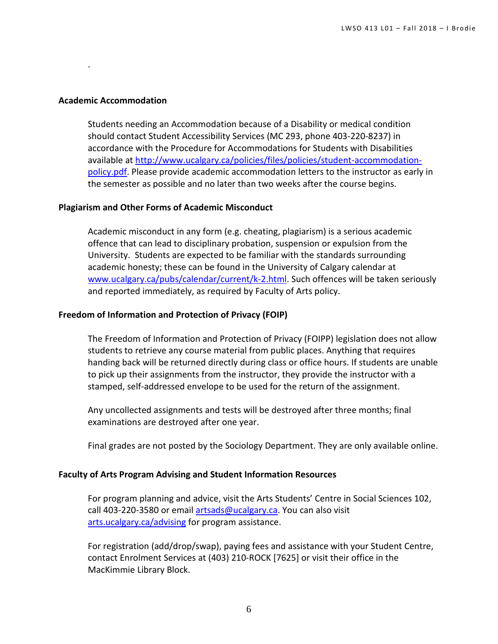#### **Academic Accommodation**

.

Students needing an Accommodation because of a Disability or medical condition should contact Student Accessibility Services (MC 293, phone 403-220-8237) in accordance with the Procedure for Accommodations for Students with Disabilities available at [http://www.ucalgary.ca/policies/files/policies/student-accommodation](http://www.ucalgary.ca/policies/files/policies/student-accommodation-policy.pdf)[policy.pdf.](http://www.ucalgary.ca/policies/files/policies/student-accommodation-policy.pdf) Please provide academic accommodation letters to the instructor as early in the semester as possible and no later than two weeks after the course begins.

#### **Plagiarism and Other Forms of Academic Misconduct**

Academic misconduct in any form (e.g. cheating, plagiarism) is a serious academic offence that can lead to disciplinary probation, suspension or expulsion from the University. Students are expected to be familiar with the standards surrounding academic honesty; these can be found in the University of Calgary calendar at [www.ucalgary.ca/pubs/calendar/current/k-2.html.](http://www.ucalgary.ca/pubs/calendar/current/k-2.html) Such offences will be taken seriously and reported immediately, as required by Faculty of Arts policy.

#### **Freedom of Information and Protection of Privacy (FOIP)**

The Freedom of Information and Protection of Privacy (FOIPP) legislation does not allow students to retrieve any course material from public places. Anything that requires handing back will be returned directly during class or office hours. If students are unable to pick up their assignments from the instructor, they provide the instructor with a stamped, self-addressed envelope to be used for the return of the assignment.

Any uncollected assignments and tests will be destroyed after three months; final examinations are destroyed after one year.

Final grades are not posted by the Sociology Department. They are only available online.

## **Faculty of Arts Program Advising and Student Information Resources**

For program planning and advice, visit the Arts Students' Centre in Social Sciences 102, call 403-220-3580 or email [artsads@ucalgary.ca.](mailto:artsads@ucalgary.ca) You can also visit [arts.ucalgary.ca/advising](http://arts.ucalgary.ca/advising) for program assistance.

For registration (add/drop/swap), paying fees and assistance with your Student Centre, contact Enrolment Services at (403) 210-ROCK [7625] or visit their office in the MacKimmie Library Block.